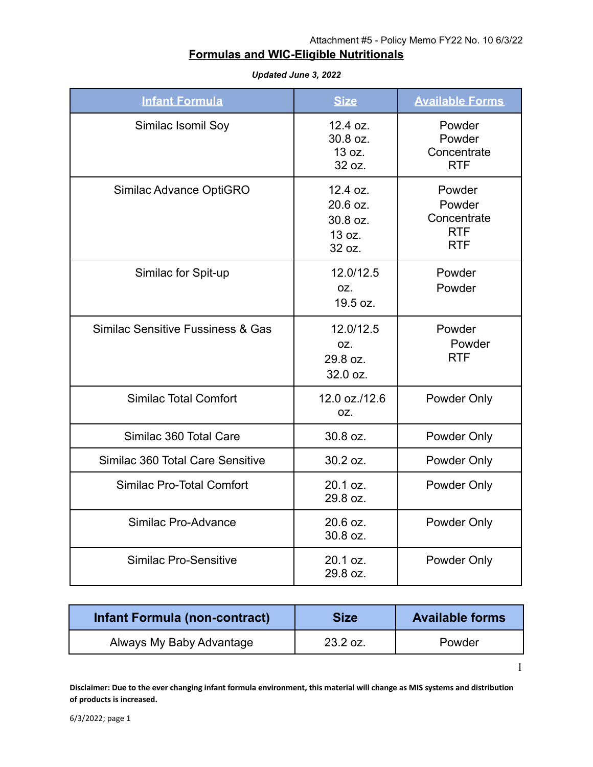1

## **Formulas and WIC-Eligible Nutritionals**

| <b>Infant Formula</b>             | <b>Size</b>                                          | <b>Available Forms</b>                                      |
|-----------------------------------|------------------------------------------------------|-------------------------------------------------------------|
| Similac Isomil Soy                | 12.4 oz.<br>30.8 oz.<br>13 oz.<br>32 oz.             | Powder<br>Powder<br>Concentrate<br><b>RTF</b>               |
| Similac Advance OptiGRO           | 12.4 oz.<br>20.6 oz.<br>30.8 oz.<br>13 oz.<br>32 oz. | Powder<br>Powder<br>Concentrate<br><b>RTF</b><br><b>RTF</b> |
| Similac for Spit-up               | 12.0/12.5<br>OZ.<br>19.5 oz.                         | Powder<br>Powder                                            |
| Similac Sensitive Fussiness & Gas | 12.0/12.5<br>OZ.<br>29.8 oz.<br>32.0 oz.             | Powder<br>Powder<br><b>RTF</b>                              |
| <b>Similac Total Comfort</b>      | 12.0 oz./12.6<br>OZ.                                 | Powder Only                                                 |
| Similac 360 Total Care            | 30.8 oz.                                             | Powder Only                                                 |
| Similac 360 Total Care Sensitive  | 30.2 oz.                                             | Powder Only                                                 |
| Similac Pro-Total Comfort         | 20.1 oz.<br>29.8 oz.                                 | Powder Only                                                 |
| Similac Pro-Advance               | 20.6 oz.<br>30.8 oz.                                 | Powder Only                                                 |
| <b>Similac Pro-Sensitive</b>      | 20.1 oz.<br>29.8 oz.                                 | Powder Only                                                 |

*Updated June 3, 2022*

| Infant Formula (non-contract) | <b>Size</b> | <b>Available forms</b> |
|-------------------------------|-------------|------------------------|
| Always My Baby Advantage      | $23.2$ oz.  | Powder                 |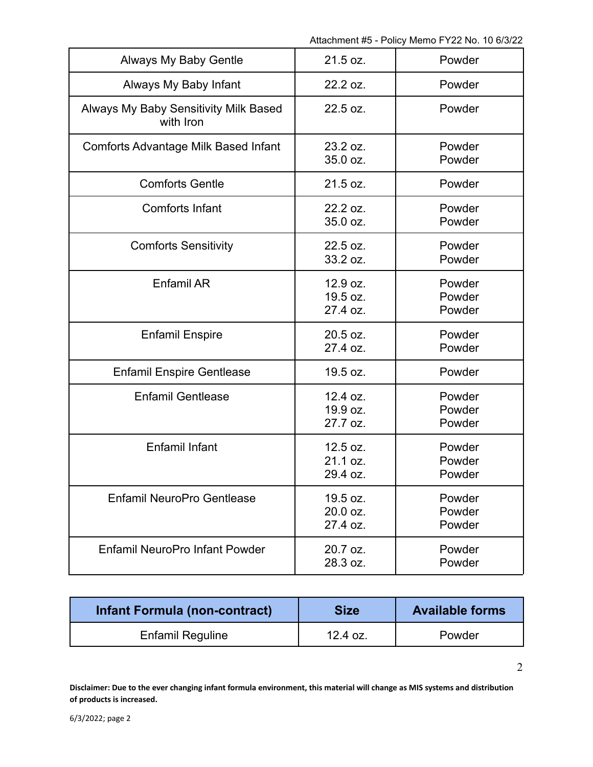| <b>Always My Baby Gentle</b>                       | 21.5 oz.                         | Powder                     |
|----------------------------------------------------|----------------------------------|----------------------------|
| Always My Baby Infant                              | 22.2 oz.                         | Powder                     |
| Always My Baby Sensitivity Milk Based<br>with Iron | 22.5 oz.                         | Powder                     |
| <b>Comforts Advantage Milk Based Infant</b>        | 23.2 oz.<br>35.0 oz.             | Powder<br>Powder           |
| <b>Comforts Gentle</b>                             | 21.5 oz.                         | Powder                     |
| <b>Comforts Infant</b>                             | 22.2 oz.<br>35.0 oz.             | Powder<br>Powder           |
| <b>Comforts Sensitivity</b>                        | 22.5 oz.<br>33.2 oz.             | Powder<br>Powder           |
| <b>Enfamil AR</b>                                  | 12.9 oz.<br>19.5 oz.<br>27.4 oz. | Powder<br>Powder<br>Powder |
| <b>Enfamil Enspire</b>                             | 20.5 oz.<br>27.4 oz.             | Powder<br>Powder           |
| <b>Enfamil Enspire Gentlease</b>                   | 19.5 oz.                         | Powder                     |
| <b>Enfamil Gentlease</b>                           | 12.4 oz.<br>19.9 oz.<br>27.7 oz. | Powder<br>Powder<br>Powder |
| <b>Enfamil Infant</b>                              | 12.5 oz.<br>21.1 oz.<br>29.4 oz. | Powder<br>Powder<br>Powder |
| <b>Enfamil NeuroPro Gentlease</b>                  | 19.5 oz.<br>20.0 oz.<br>27.4 oz. | Powder<br>Powder<br>Powder |
| <b>Enfamil NeuroPro Infant Powder</b>              | 20.7 oz.<br>28.3 oz.             | Powder<br>Powder           |

| Infant Formula (non-contract) | <b>Size</b> | <b>Available forms</b> |
|-------------------------------|-------------|------------------------|
| <b>Enfamil Reguline</b>       | $12.4$ oz.  | Powder                 |

**Disclaimer: Due to the ever changing infant formula environment, this material will change as MIS systems and distribution of products is increased.**

2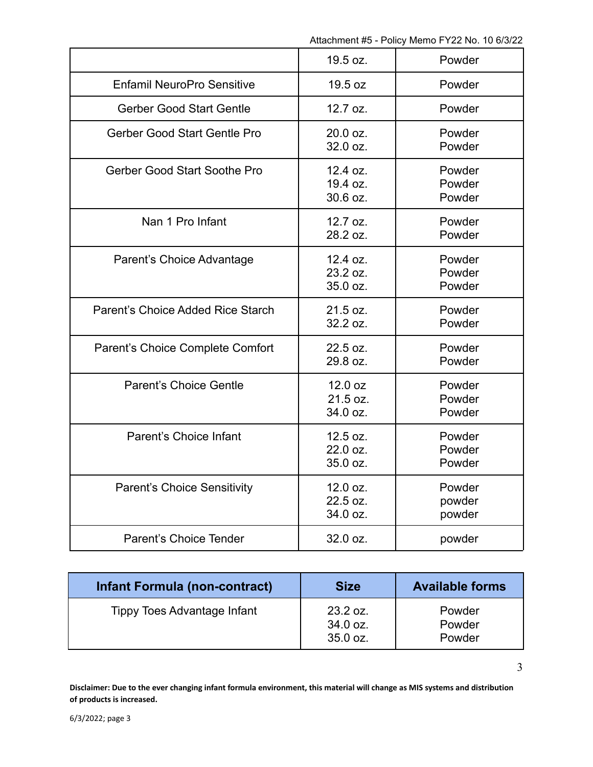| 19.5 oz. | Powder |
|----------|--------|
| 19.5 oz  | Powder |
| 12.7 oz. | Powder |
| 20.0 oz. | Powder |
| 32.0 oz. | Powder |
| 12.4 oz. | Powder |
| 19.4 oz. | Powder |
| 30.6 oz. | Powder |
| 12.7 oz. | Powder |
| 28.2 oz. | Powder |
| 12.4 oz. | Powder |
| 23.2 oz. | Powder |
| 35.0 oz. | Powder |
| 21.5 oz. | Powder |
| 32.2 oz. | Powder |
| 22.5 oz. | Powder |
| 29.8 oz. | Powder |
| 12.0 oz  | Powder |
| 21.5 oz. | Powder |
| 34.0 oz. | Powder |
| 12.5 oz. | Powder |
| 22.0 oz. | Powder |
| 35.0 oz. | Powder |
| 12.0 oz. | Powder |
| 22.5 oz. | powder |
| 34.0 oz. | powder |
| 32.0 oz. | powder |
|          |        |

| Infant Formula (non-contract)      | <b>Size</b>                      | <b>Available forms</b>     |
|------------------------------------|----------------------------------|----------------------------|
| <b>Tippy Toes Advantage Infant</b> | 23.2 oz.<br>34.0 oz.<br>35.0 oz. | Powder<br>Powder<br>Powder |

**Disclaimer: Due to the ever changing infant formula environment, this material will change as MIS systems and distribution of products is increased.**

3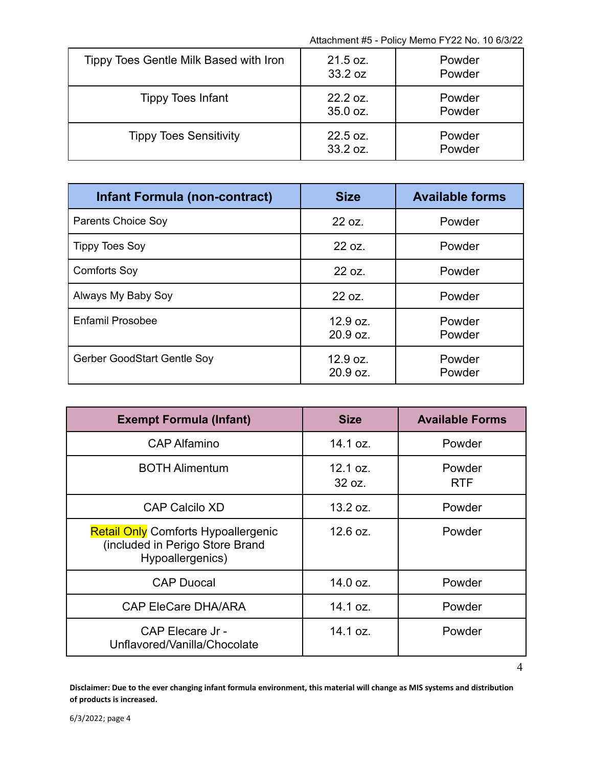4

| Tippy Toes Gentle Milk Based with Iron | 21.5 oz.<br>33.2 oz  | Powder<br>Powder |
|----------------------------------------|----------------------|------------------|
| <b>Tippy Toes Infant</b>               | 22.2 oz.<br>35.0 oz. | Powder<br>Powder |
| <b>Tippy Toes Sensitivity</b>          | 22.5 oz.<br>33.2 oz. | Powder<br>Powder |

| <b>Infant Formula (non-contract)</b> | <b>Size</b>          | <b>Available forms</b> |
|--------------------------------------|----------------------|------------------------|
| <b>Parents Choice Soy</b>            | 22 oz.               | Powder                 |
| <b>Tippy Toes Soy</b>                | 22 oz.               | Powder                 |
| <b>Comforts Soy</b>                  | 22 oz.               | Powder                 |
| Always My Baby Soy                   | 22 oz.               | Powder                 |
| <b>Enfamil Prosobee</b>              | 12.9 oz.<br>20.9 oz. | Powder<br>Powder       |
| Gerber GoodStart Gentle Soy          | 12.9 oz.<br>20.9 oz. | Powder<br>Powder       |

| <b>Exempt Formula (Infant)</b>                                                                    | <b>Size</b>        | <b>Available Forms</b> |
|---------------------------------------------------------------------------------------------------|--------------------|------------------------|
| <b>CAP Alfamino</b>                                                                               | 14.1 oz.           | Powder                 |
| <b>BOTH Alimentum</b>                                                                             | 12.1 oz.<br>32 oz. | Powder<br><b>RTF</b>   |
| <b>CAP Calcilo XD</b>                                                                             | 13.2 oz.           | Powder                 |
| <b>Retail Only Comforts Hypoallergenic</b><br>(included in Perigo Store Brand<br>Hypoallergenics) | 12.6 oz.           | Powder                 |
| <b>CAP Duocal</b>                                                                                 | 14.0 oz.           | Powder                 |
| <b>CAP EleCare DHA/ARA</b>                                                                        | 14.1 oz.           | Powder                 |
| CAP Elecare Jr -<br>Unflavored/Vanilla/Chocolate                                                  | 14.1 oz.           | Powder                 |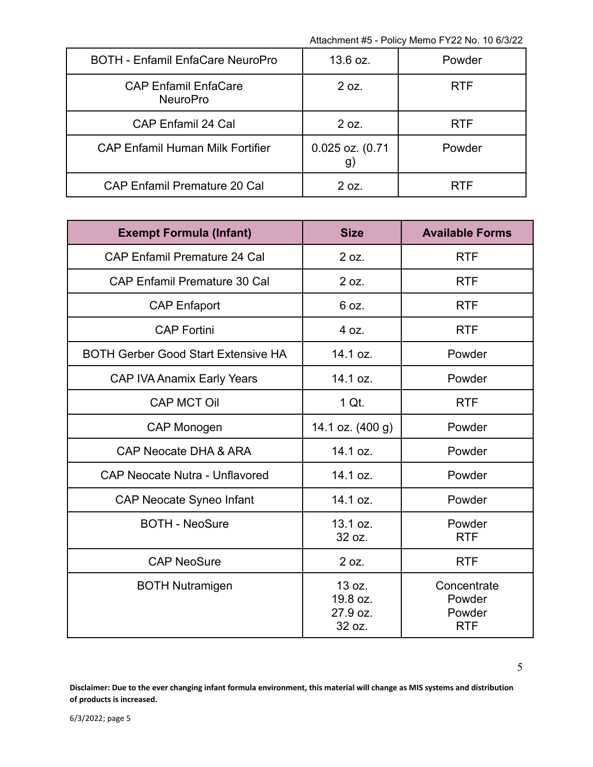| <b>BOTH - Enfamil EnfaCare NeuroPro</b>        | 13.6 oz.              | Powder     |
|------------------------------------------------|-----------------------|------------|
| <b>CAP Enfamil EnfaCare</b><br><b>NeuroPro</b> | 2 oz.                 | <b>RTF</b> |
| <b>CAP Enfamil 24 Cal</b>                      | 2 oz.                 | <b>RTF</b> |
| <b>CAP Enfamil Human Milk Fortifier</b>        | 0.025 oz. (0.71<br>g) | Powder     |
| <b>CAP Enfamil Premature 20 Cal</b>            | 2 oz.                 | <b>RTF</b> |

| <b>Exempt Formula (Infant)</b>             | <b>Size</b>                              | <b>Available Forms</b>                        |
|--------------------------------------------|------------------------------------------|-----------------------------------------------|
| <b>CAP Enfamil Premature 24 Cal</b>        | 2 oz.                                    | <b>RTF</b>                                    |
| <b>CAP Enfamil Premature 30 Cal</b>        | 2 oz.                                    | <b>RTF</b>                                    |
| <b>CAP Enfaport</b>                        | 6 oz.                                    | <b>RTF</b>                                    |
| <b>CAP Fortini</b>                         | 4 oz.                                    | <b>RTF</b>                                    |
| <b>BOTH Gerber Good Start Extensive HA</b> | 14.1 oz.                                 | Powder                                        |
| CAP IVA Anamix Early Years                 | 14.1 oz.                                 | Powder                                        |
| <b>CAP MCT Oil</b>                         | 1 Qt.                                    | <b>RTF</b>                                    |
| <b>CAP Monogen</b>                         | 14.1 oz. (400 g)                         | Powder                                        |
| <b>CAP Neocate DHA &amp; ARA</b>           | 14.1 oz.                                 | Powder                                        |
| <b>CAP Neocate Nutra - Unflavored</b>      | 14.1 oz.                                 | Powder                                        |
| <b>CAP Neocate Syneo Infant</b>            | 14.1 oz.                                 | Powder                                        |
| <b>BOTH - NeoSure</b>                      | 13.1 oz.<br>32 oz.                       | Powder<br><b>RTF</b>                          |
| <b>CAP NeoSure</b>                         | 2 oz.                                    | <b>RTF</b>                                    |
| <b>BOTH Nutramigen</b>                     | 13 oz.<br>19.8 oz.<br>27.9 oz.<br>32 oz. | Concentrate<br>Powder<br>Powder<br><b>RTF</b> |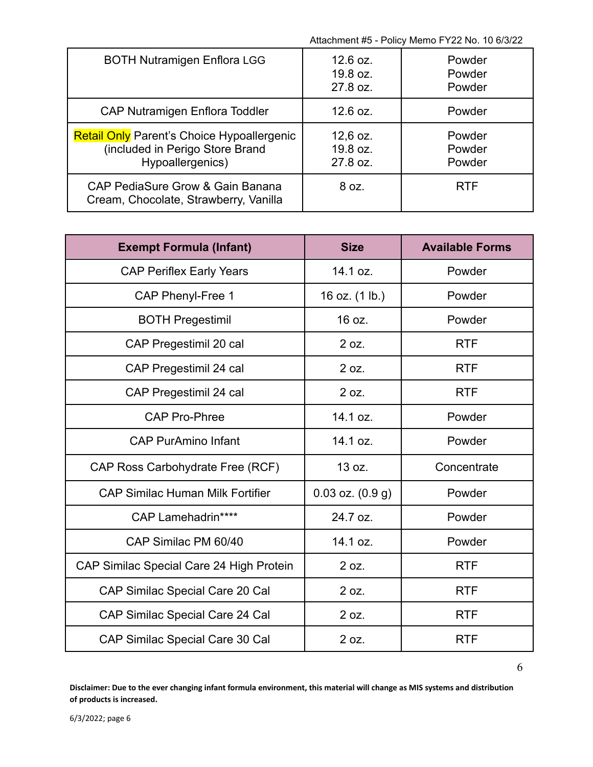| <b>BOTH Nutramigen Enflora LGG</b>                                                                       | 12.6 oz.<br>19.8 oz.<br>27.8 oz.   | Powder<br>Powder<br>Powder |
|----------------------------------------------------------------------------------------------------------|------------------------------------|----------------------------|
| <b>CAP Nutramigen Enflora Toddler</b>                                                                    | 12.6 oz.                           | Powder                     |
| <b>Retail Only Parent's Choice Hypoallergenic</b><br>(included in Perigo Store Brand<br>Hypoallergenics) | $12,6$ oz.<br>19.8 oz.<br>27.8 oz. | Powder<br>Powder<br>Powder |
| CAP PediaSure Grow & Gain Banana<br>Cream, Chocolate, Strawberry, Vanilla                                | 8 oz.                              | <b>RTF</b>                 |

| <b>Exempt Formula (Infant)</b>           | <b>Size</b>          | <b>Available Forms</b> |
|------------------------------------------|----------------------|------------------------|
| <b>CAP Periflex Early Years</b>          | 14.1 oz.             | Powder                 |
| <b>CAP Phenyl-Free 1</b>                 | 16 oz. (1 lb.)       | Powder                 |
| <b>BOTH Pregestimil</b>                  | 16 oz.               | Powder                 |
| CAP Pregestimil 20 cal                   | 2 oz.                | <b>RTF</b>             |
| CAP Pregestimil 24 cal                   | 2 oz.                | <b>RTF</b>             |
| CAP Pregestimil 24 cal                   | 2 oz.                | <b>RTF</b>             |
| <b>CAP Pro-Phree</b>                     | 14.1 oz.             | Powder                 |
| <b>CAP PurAmino Infant</b>               | 14.1 oz.             | Powder                 |
| CAP Ross Carbohydrate Free (RCF)         | 13 oz.               | Concentrate            |
| <b>CAP Similac Human Milk Fortifier</b>  | $0.03$ oz. $(0.9 g)$ | Powder                 |
| CAP Lamehadrin****                       | 24.7 oz.             | Powder                 |
| CAP Similac PM 60/40                     | 14.1 oz.             | Powder                 |
| CAP Similac Special Care 24 High Protein | 2 oz.                | <b>RTF</b>             |
| CAP Similac Special Care 20 Cal          | 2 oz.                | <b>RTF</b>             |
| CAP Similac Special Care 24 Cal          | 2 oz.                | <b>RTF</b>             |
| CAP Similac Special Care 30 Cal          | 2 oz.                | <b>RTF</b>             |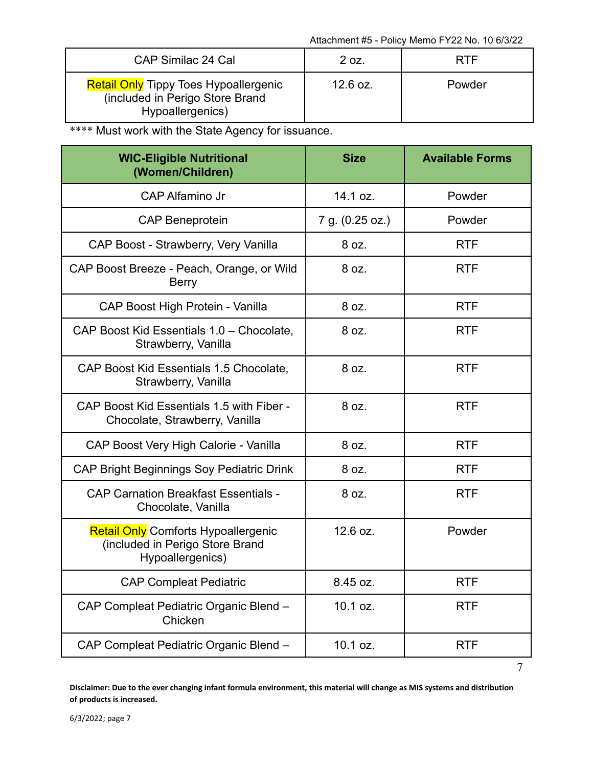| CAP Similac 24 Cal                                                                                  | 2 oz.    | RTF    |
|-----------------------------------------------------------------------------------------------------|----------|--------|
| <b>Retail Only Tippy Toes Hypoallergenic</b><br>(included in Perigo Store Brand<br>Hypoallergenics) | 12.6 oz. | Powder |

\*\*\*\* Must work with the State Agency for issuance.

| <b>WIC-Eligible Nutritional</b><br>(Women/Children)                                               | <b>Size</b>     | <b>Available Forms</b> |
|---------------------------------------------------------------------------------------------------|-----------------|------------------------|
| <b>CAP Alfamino Jr</b>                                                                            | 14.1 oz.        | Powder                 |
| <b>CAP Beneprotein</b>                                                                            | 7 g. (0.25 oz.) | Powder                 |
| CAP Boost - Strawberry, Very Vanilla                                                              | 8 oz.           | <b>RTF</b>             |
| CAP Boost Breeze - Peach, Orange, or Wild<br><b>Berry</b>                                         | 8 oz.           | <b>RTF</b>             |
| CAP Boost High Protein - Vanilla                                                                  | 8 oz.           | <b>RTF</b>             |
| CAP Boost Kid Essentials 1.0 - Chocolate,<br>Strawberry, Vanilla                                  | 8 oz.           | <b>RTF</b>             |
| CAP Boost Kid Essentials 1.5 Chocolate,<br>Strawberry, Vanilla                                    | 8 oz.           | <b>RTF</b>             |
| CAP Boost Kid Essentials 1.5 with Fiber -<br>Chocolate, Strawberry, Vanilla                       | 8 oz.           | <b>RTF</b>             |
| CAP Boost Very High Calorie - Vanilla                                                             | 8 oz.           | <b>RTF</b>             |
| <b>CAP Bright Beginnings Soy Pediatric Drink</b>                                                  | 8 oz.           | <b>RTF</b>             |
| <b>CAP Carnation Breakfast Essentials -</b><br>Chocolate, Vanilla                                 | 8 oz.           | <b>RTF</b>             |
| <b>Retail Only Comforts Hypoallergenic</b><br>(included in Perigo Store Brand<br>Hypoallergenics) | 12.6 oz.        | Powder                 |
| <b>CAP Compleat Pediatric</b>                                                                     | 8.45 oz.        | <b>RTF</b>             |
| CAP Compleat Pediatric Organic Blend -<br>Chicken                                                 | 10.1 oz.        | <b>RTF</b>             |
| CAP Compleat Pediatric Organic Blend -                                                            | 10.1 oz.        | <b>RTF</b>             |

7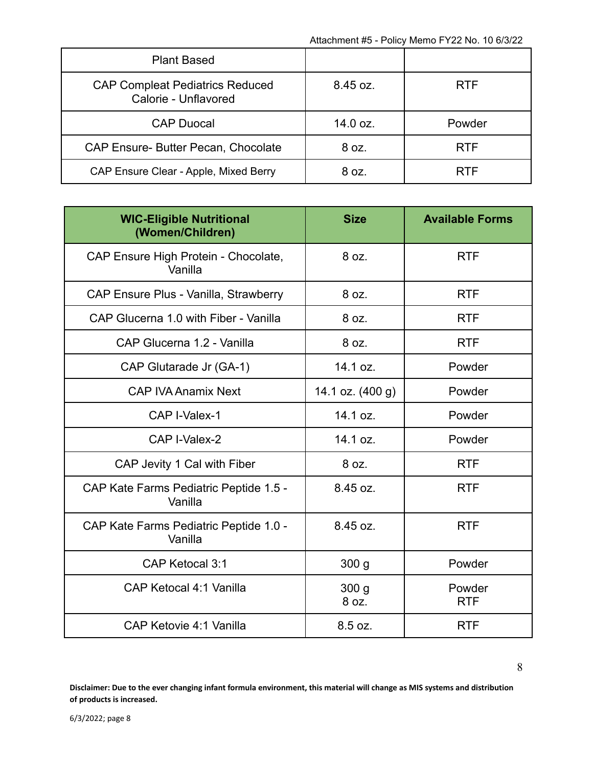| <b>Plant Based</b>                                             |                    |            |
|----------------------------------------------------------------|--------------------|------------|
| <b>CAP Compleat Pediatrics Reduced</b><br>Calorie - Unflavored | $8.45 \text{ oz.}$ | <b>RTF</b> |
| <b>CAP Duocal</b>                                              | 14.0 oz.           | Powder     |
| <b>CAP Ensure- Butter Pecan, Chocolate</b>                     | 8 oz.              | <b>RTF</b> |
| CAP Ensure Clear - Apple, Mixed Berry                          | 8 oz.              | <b>RTF</b> |

| <b>WIC-Eligible Nutritional</b><br>(Women/Children) | <b>Size</b>               | <b>Available Forms</b> |
|-----------------------------------------------------|---------------------------|------------------------|
| CAP Ensure High Protein - Chocolate,<br>Vanilla     | 8 oz.                     | <b>RTF</b>             |
| CAP Ensure Plus - Vanilla, Strawberry               | 8 oz.                     | <b>RTF</b>             |
| CAP Glucerna 1.0 with Fiber - Vanilla               | 8 oz.                     | <b>RTF</b>             |
| CAP Glucerna 1.2 - Vanilla                          | 8 oz.                     | <b>RTF</b>             |
| CAP Glutarade Jr (GA-1)                             | 14.1 oz.                  | Powder                 |
| <b>CAP IVA Anamix Next</b>                          | 14.1 oz. (400 g)          | Powder                 |
| CAP I-Valex-1                                       | 14.1 oz.                  | Powder                 |
| CAP I-Valex-2                                       | 14.1 oz.                  | Powder                 |
| CAP Jevity 1 Cal with Fiber                         | 8 oz.                     | <b>RTF</b>             |
| CAP Kate Farms Pediatric Peptide 1.5 -<br>Vanilla   | 8.45 oz.                  | <b>RTF</b>             |
| CAP Kate Farms Pediatric Peptide 1.0 -<br>Vanilla   | 8.45 oz.                  | <b>RTF</b>             |
| CAP Ketocal 3:1                                     | 300 <sub>g</sub>          | Powder                 |
| CAP Ketocal 4:1 Vanilla                             | 300 <sub>q</sub><br>8 oz. | Powder<br><b>RTF</b>   |
| CAP Ketovie 4:1 Vanilla                             | 8.5 oz.                   | <b>RTF</b>             |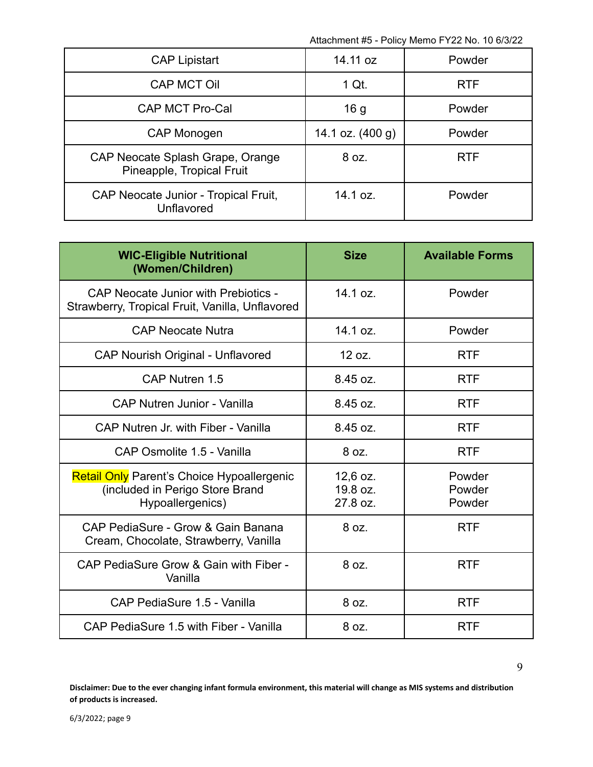| <b>CAP Lipistart</b>                                          | 14.11 oz         | Powder     |
|---------------------------------------------------------------|------------------|------------|
| <b>CAP MCT Oil</b>                                            | 1 Qt.            | <b>RTF</b> |
| CAP MCT Pro-Cal                                               | 16 <sub>g</sub>  | Powder     |
| CAP Monogen                                                   | 14.1 oz. (400 g) | Powder     |
| CAP Neocate Splash Grape, Orange<br>Pineapple, Tropical Fruit | 8 oz.            | <b>RTF</b> |
| CAP Neocate Junior - Tropical Fruit,<br>Unflavored            | 14.1 oz.         | Powder     |

| <b>WIC-Eligible Nutritional</b><br>(Women/Children)                                               | <b>Size</b>                        | <b>Available Forms</b>     |
|---------------------------------------------------------------------------------------------------|------------------------------------|----------------------------|
| <b>CAP Neocate Junior with Prebiotics -</b><br>Strawberry, Tropical Fruit, Vanilla, Unflavored    | 14.1 oz.                           | Powder                     |
| <b>CAP Neocate Nutra</b>                                                                          | 14.1 oz.                           | Powder                     |
| <b>CAP Nourish Original - Unflavored</b>                                                          | 12 oz.                             | <b>RTF</b>                 |
| CAP Nutren 1.5                                                                                    | 8.45 oz.                           | <b>RTF</b>                 |
| <b>CAP Nutren Junior - Vanilla</b>                                                                | 8.45 oz.                           | <b>RTF</b>                 |
| CAP Nutren Jr. with Fiber - Vanilla                                                               | 8.45 oz.                           | <b>RTF</b>                 |
| CAP Osmolite 1.5 - Vanilla                                                                        | 8 oz.                              | <b>RTF</b>                 |
| Retail Only Parent's Choice Hypoallergenic<br>(included in Perigo Store Brand<br>Hypoallergenics) | $12,6$ oz.<br>19.8 oz.<br>27.8 oz. | Powder<br>Powder<br>Powder |
| CAP PediaSure - Grow & Gain Banana<br>Cream, Chocolate, Strawberry, Vanilla                       | 8 oz.                              | <b>RTF</b>                 |
| CAP PediaSure Grow & Gain with Fiber -<br>Vanilla                                                 | 8 oz.                              | <b>RTF</b>                 |
| CAP PediaSure 1.5 - Vanilla                                                                       | 8 oz.                              | <b>RTF</b>                 |
| CAP PediaSure 1.5 with Fiber - Vanilla                                                            | 8 oz.                              | <b>RTF</b>                 |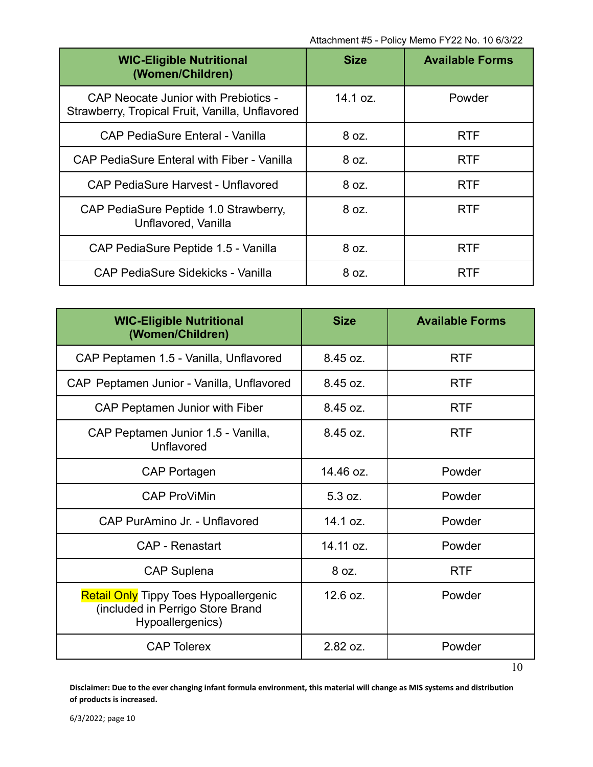| <b>WIC-Eligible Nutritional</b><br>(Women/Children)                                            | <b>Size</b> | <b>Available Forms</b> |
|------------------------------------------------------------------------------------------------|-------------|------------------------|
| <b>CAP Neocate Junior with Prebiotics -</b><br>Strawberry, Tropical Fruit, Vanilla, Unflavored | 14.1 oz.    | Powder                 |
| CAP PediaSure Enteral - Vanilla                                                                | 8 oz.       | <b>RTF</b>             |
| <b>CAP PediaSure Enteral with Fiber - Vanilla</b>                                              | 8 oz.       | <b>RTF</b>             |
| <b>CAP PediaSure Harvest - Unflavored</b>                                                      | 8 oz.       | <b>RTF</b>             |
| CAP PediaSure Peptide 1.0 Strawberry,<br>Unflavored, Vanilla                                   | 8 oz.       | <b>RTF</b>             |
| CAP PediaSure Peptide 1.5 - Vanilla                                                            | 8 oz.       | <b>RTF</b>             |
| CAP PediaSure Sidekicks - Vanilla                                                              | 8 oz.       | <b>RTF</b>             |

| <b>WIC-Eligible Nutritional</b><br>(Women/Children)                                                  | <b>Size</b> | <b>Available Forms</b> |
|------------------------------------------------------------------------------------------------------|-------------|------------------------|
| CAP Peptamen 1.5 - Vanilla, Unflavored                                                               | 8.45 oz.    | <b>RTF</b>             |
| CAP Peptamen Junior - Vanilla, Unflavored                                                            | 8.45 oz.    | <b>RTF</b>             |
| CAP Peptamen Junior with Fiber                                                                       | 8.45 oz.    | <b>RTF</b>             |
| CAP Peptamen Junior 1.5 - Vanilla,<br>Unflavored                                                     | 8.45 oz.    | <b>RTF</b>             |
| <b>CAP Portagen</b>                                                                                  | 14.46 oz.   | Powder                 |
| <b>CAP ProViMin</b>                                                                                  | 5.3 oz.     | Powder                 |
| CAP PurAmino Jr. - Unflavored                                                                        | 14.1 oz.    | Powder                 |
| CAP - Renastart                                                                                      | 14.11 oz.   | Powder                 |
| <b>CAP Suplena</b>                                                                                   | 8 oz.       | <b>RTF</b>             |
| <b>Retail Only Tippy Toes Hypoallergenic</b><br>(included in Perrigo Store Brand<br>Hypoallergenics) | 12.6 oz.    | Powder                 |
| <b>CAP Tolerex</b>                                                                                   | 2.82 oz.    | Powder                 |

10